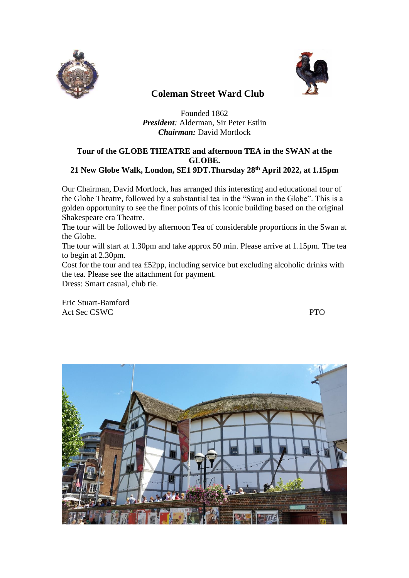



## **Coleman Street Ward Club**

Founded 1862 *President:* Alderman, Sir Peter Estlin *Chairman:* David Mortlock

## **Tour of the GLOBE THEATRE and afternoon TEA in the SWAN at the GLOBE. 21 New Globe Walk, London, SE1 9DT.Thursday 28th April 2022, at 1.15pm**

Our Chairman, David Mortlock, has arranged this interesting and educational tour of the Globe Theatre, followed by a substantial tea in the "Swan in the Globe". This is a golden opportunity to see the finer points of this iconic building based on the original Shakespeare era Theatre.

The tour will be followed by afternoon Tea of considerable proportions in the Swan at the Globe.

The tour will start at 1.30pm and take approx 50 min. Please arrive at 1.15pm. The tea to begin at 2.30pm.

Cost for the tour and tea £52pp, including service but excluding alcoholic drinks with the tea. Please see the attachment for payment.

Dress: Smart casual, club tie.

Eric Stuart-Bamford Act Sec CSWC PTO